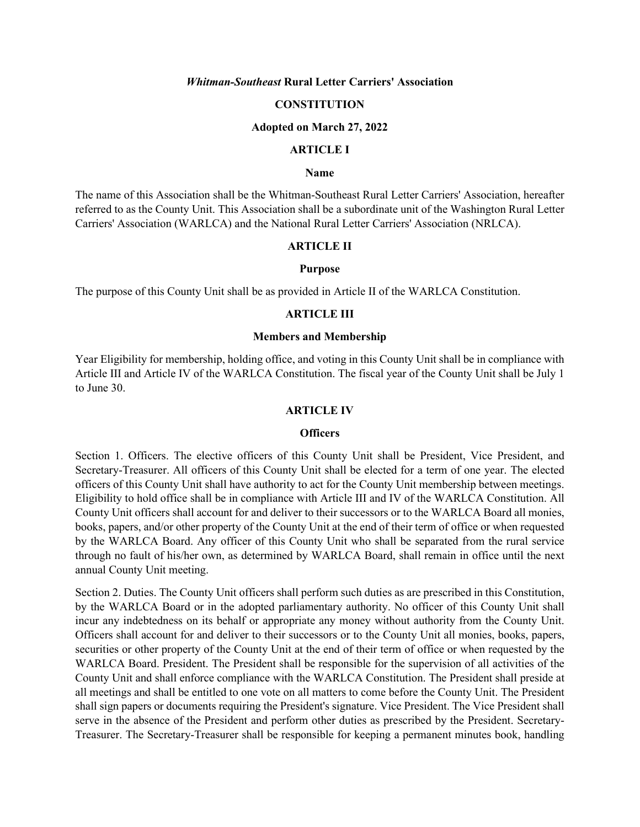### *Whitman-Southeast* **Rural Letter Carriers' Association**

### **CONSTITUTION**

### **Adopted on March 27, 2022**

## **ARTICLE I**

### **Name**

The name of this Association shall be the Whitman-Southeast Rural Letter Carriers' Association, hereafter referred to as the County Unit. This Association shall be a subordinate unit of the Washington Rural Letter Carriers' Association (WARLCA) and the National Rural Letter Carriers' Association (NRLCA).

### **ARTICLE II**

### **Purpose**

The purpose of this County Unit shall be as provided in Article II of the WARLCA Constitution.

#### **ARTICLE III**

### **Members and Membership**

Year Eligibility for membership, holding office, and voting in this County Unit shall be in compliance with Article III and Article IV of the WARLCA Constitution. The fiscal year of the County Unit shall be July 1 to June 30.

#### **ARTICLE IV**

#### **Officers**

Section 1. Officers. The elective officers of this County Unit shall be President, Vice President, and Secretary-Treasurer. All officers of this County Unit shall be elected for a term of one year. The elected officers of this County Unit shall have authority to act for the County Unit membership between meetings. Eligibility to hold office shall be in compliance with Article III and IV of the WARLCA Constitution. All County Unit officers shall account for and deliver to their successors or to the WARLCA Board all monies, books, papers, and/or other property of the County Unit at the end of their term of office or when requested by the WARLCA Board. Any officer of this County Unit who shall be separated from the rural service through no fault of his/her own, as determined by WARLCA Board, shall remain in office until the next annual County Unit meeting.

Section 2. Duties. The County Unit officers shall perform such duties as are prescribed in this Constitution, by the WARLCA Board or in the adopted parliamentary authority. No officer of this County Unit shall incur any indebtedness on its behalf or appropriate any money without authority from the County Unit. Officers shall account for and deliver to their successors or to the County Unit all monies, books, papers, securities or other property of the County Unit at the end of their term of office or when requested by the WARLCA Board. President. The President shall be responsible for the supervision of all activities of the County Unit and shall enforce compliance with the WARLCA Constitution. The President shall preside at all meetings and shall be entitled to one vote on all matters to come before the County Unit. The President shall sign papers or documents requiring the President's signature. Vice President. The Vice President shall serve in the absence of the President and perform other duties as prescribed by the President. Secretary-Treasurer. The Secretary-Treasurer shall be responsible for keeping a permanent minutes book, handling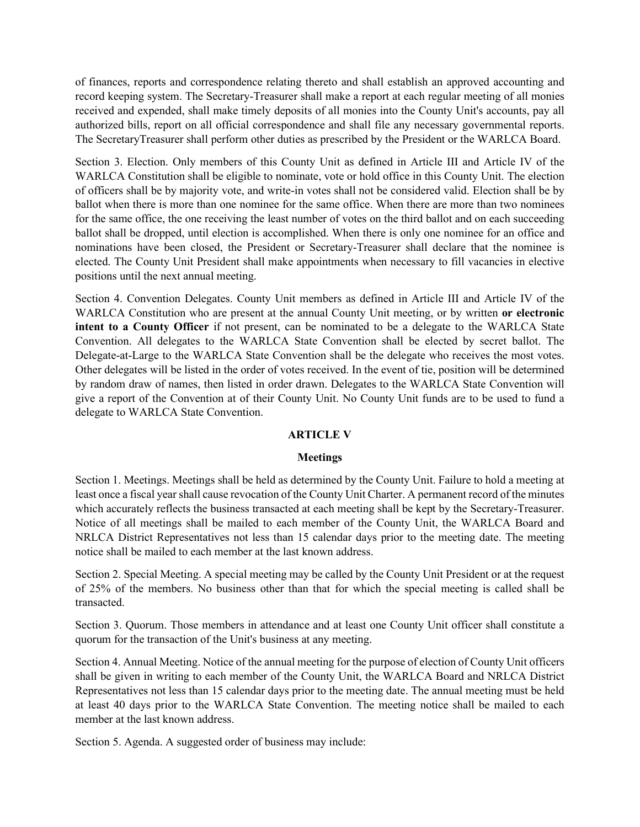of finances, reports and correspondence relating thereto and shall establish an approved accounting and record keeping system. The Secretary-Treasurer shall make a report at each regular meeting of all monies received and expended, shall make timely deposits of all monies into the County Unit's accounts, pay all authorized bills, report on all official correspondence and shall file any necessary governmental reports. The SecretaryTreasurer shall perform other duties as prescribed by the President or the WARLCA Board.

Section 3. Election. Only members of this County Unit as defined in Article III and Article IV of the WARLCA Constitution shall be eligible to nominate, vote or hold office in this County Unit. The election of officers shall be by majority vote, and write-in votes shall not be considered valid. Election shall be by ballot when there is more than one nominee for the same office. When there are more than two nominees for the same office, the one receiving the least number of votes on the third ballot and on each succeeding ballot shall be dropped, until election is accomplished. When there is only one nominee for an office and nominations have been closed, the President or Secretary-Treasurer shall declare that the nominee is elected. The County Unit President shall make appointments when necessary to fill vacancies in elective positions until the next annual meeting.

Section 4. Convention Delegates. County Unit members as defined in Article III and Article IV of the WARLCA Constitution who are present at the annual County Unit meeting, or by written **or electronic intent to a County Officer** if not present, can be nominated to be a delegate to the WARLCA State Convention. All delegates to the WARLCA State Convention shall be elected by secret ballot. The Delegate-at-Large to the WARLCA State Convention shall be the delegate who receives the most votes. Other delegates will be listed in the order of votes received. In the event of tie, position will be determined by random draw of names, then listed in order drawn. Delegates to the WARLCA State Convention will give a report of the Convention at of their County Unit. No County Unit funds are to be used to fund a delegate to WARLCA State Convention.

## **ARTICLE V**

### **Meetings**

Section 1. Meetings. Meetings shall be held as determined by the County Unit. Failure to hold a meeting at least once a fiscal year shall cause revocation of the County Unit Charter. A permanent record of the minutes which accurately reflects the business transacted at each meeting shall be kept by the Secretary-Treasurer. Notice of all meetings shall be mailed to each member of the County Unit, the WARLCA Board and NRLCA District Representatives not less than 15 calendar days prior to the meeting date. The meeting notice shall be mailed to each member at the last known address.

Section 2. Special Meeting. A special meeting may be called by the County Unit President or at the request of 25% of the members. No business other than that for which the special meeting is called shall be transacted.

Section 3. Quorum. Those members in attendance and at least one County Unit officer shall constitute a quorum for the transaction of the Unit's business at any meeting.

Section 4. Annual Meeting. Notice of the annual meeting for the purpose of election of County Unit officers shall be given in writing to each member of the County Unit, the WARLCA Board and NRLCA District Representatives not less than 15 calendar days prior to the meeting date. The annual meeting must be held at least 40 days prior to the WARLCA State Convention. The meeting notice shall be mailed to each member at the last known address.

Section 5. Agenda. A suggested order of business may include: